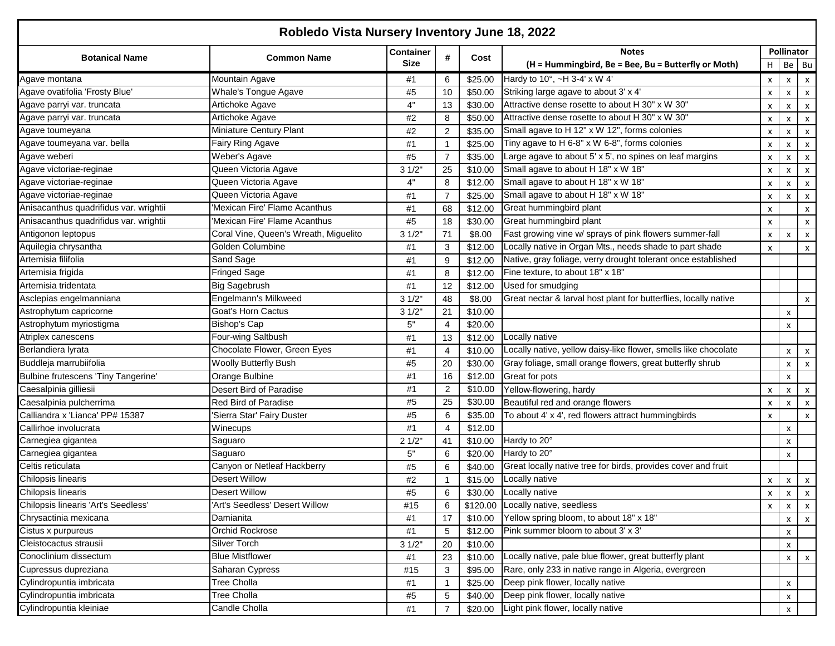| Robledo Vista Nursery Inventory June 18, 2022 |                                       |                  |                |         |                                                                  |                           |                           |                           |  |  |
|-----------------------------------------------|---------------------------------------|------------------|----------------|---------|------------------------------------------------------------------|---------------------------|---------------------------|---------------------------|--|--|
| Botanical Name                                | <b>Common Name</b>                    | <b>Container</b> |                |         | <b>Notes</b>                                                     |                           | <b>Pollinator</b>         |                           |  |  |
|                                               |                                       | <b>Size</b>      |                | Cost    | (H = Hummingbird, Be = Bee, Bu = Butterfly or Moth)              |                           | H Be Bu                   |                           |  |  |
| Agave montana                                 | Mountain Agave                        | #1               | 6              | \$25.00 | Hardy to 10°, ~H 3-4' x W 4'                                     | X                         | $\boldsymbol{\mathsf{x}}$ |                           |  |  |
| Agave ovatifolia 'Frosty Blue'                | <b>Whale's Tongue Agave</b>           | #5               | 10             | \$50.00 | Striking large agave to about 3' x 4'                            | $\pmb{\times}$            | $\boldsymbol{\mathsf{x}}$ | $\mathsf{x}$              |  |  |
| Agave parryi var. truncata                    | Artichoke Agave                       | 4"               | 13             | \$30.00 | Attractive dense rosette to about H 30" x W 30"                  | $\pmb{\times}$            | $\boldsymbol{\mathsf{x}}$ | $\mathsf{x}$              |  |  |
| Agave parryi var. truncata                    | Artichoke Agave                       | #2               | 8              | \$50.00 | Attractive dense rosette to about H 30" x W 30"                  | $\pmb{\times}$            | $\boldsymbol{\mathsf{x}}$ |                           |  |  |
| Agave toumeyana                               | Miniature Century Plant               | #2               | $\overline{2}$ | \$35.00 | Small agave to H 12" x W 12", forms colonies                     | $\pmb{\times}$            | $\pmb{\chi}$              |                           |  |  |
| Agave toumeyana var. bella                    | Fairy Ring Agave                      | #1               | -1             | \$25.00 | Tiny agave to H 6-8" x W 6-8", forms colonies                    | $\pmb{\times}$            | X                         |                           |  |  |
| Agave weberi                                  | Weber's Agave                         | #5               | $\overline{7}$ | \$35.00 | Large agave to about 5' x 5', no spines on leaf margins          | X                         | x                         |                           |  |  |
| Agave victoriae-reginae                       | Queen Victoria Agave                  | 31/2             | 25             | \$10.00 | Small agave to about H 18" x W 18"                               | x                         | x                         |                           |  |  |
| Agave victoriae-reginae                       | Queen Victoria Agave                  | 4"               | 8              | \$12.00 | Small agave to about H 18" x W 18"                               | x                         | x                         |                           |  |  |
| Agave victoriae-reginae                       | Queen Victoria Agave                  | #1               | 7              | \$25.00 | Small agave to about H 18" x W 18"                               | X                         | X                         |                           |  |  |
| Anisacanthus quadrifidus var. wrightii        | 'Mexican Fire' Flame Acanthus         | #1               | 68             | \$12.00 | Great hummingbird plant                                          | x                         |                           |                           |  |  |
| Anisacanthus quadrifidus var. wrightii        | 'Mexican Fire' Flame Acanthus         | #5               | 18             | \$30.00 | Great hummingbird plant                                          | X                         |                           |                           |  |  |
| Antigonon leptopus                            | Coral Vine, Queen's Wreath, Miguelito | 31/2             | 71             | \$8.00  | Fast growing vine w/ sprays of pink flowers summer-fall          | x                         | x                         |                           |  |  |
| Aquilegia chrysantha                          | Golden Columbine                      | #1               | 3              | \$12.00 | Locally native in Organ Mts., needs shade to part shade          | $\pmb{\times}$            |                           |                           |  |  |
| Artemisia filifolia                           | Sand Sage                             | #1               | 9              | \$12.00 | Native, gray foliage, verry drought tolerant once established    |                           |                           |                           |  |  |
| Artemisia frigida                             | Fringed Sage                          | #1               | 8              | \$12.00 | Fine texture, to about 18" x 18"                                 |                           |                           |                           |  |  |
| Artemisia tridentata                          | <b>Big Sagebrush</b>                  | #1               | 12             | \$12.00 | Used for smudging                                                |                           |                           |                           |  |  |
| Asclepias engelmanniana                       | Engelmann's Milkweed                  | 31/2"            | 48             | \$8.00  | Great nectar & larval host plant for butterflies, locally native |                           |                           |                           |  |  |
| Astrophytum capricorne                        | <b>Goat's Horn Cactus</b>             | 31/2"            | 21             | \$10.00 |                                                                  |                           | x                         |                           |  |  |
| Astrophytum myriostigma                       | Bishop's Cap                          | 5"               | 4              | \$20.00 |                                                                  |                           | x                         |                           |  |  |
| Atriplex canescens                            | Four-wing Saltbush                    | #1               | 13             | \$12.00 | Locally native                                                   |                           |                           |                           |  |  |
| Berlandiera lyrata                            | Chocolate Flower, Green Eyes          | #1               | $\overline{4}$ | \$10.00 | Locally native, yellow daisy-like flower, smells like chocolate  |                           | X                         | $\boldsymbol{\mathsf{x}}$ |  |  |
| Buddleja marrubiifolia                        | <b>Woolly Butterfly Bush</b>          | #5               | 20             | \$30.00 | Gray foliage, small orange flowers, great butterfly shrub        |                           | X                         | $\boldsymbol{\mathsf{x}}$ |  |  |
| Bulbine frutescens 'Tiny Tangerine'           | Orange Bulbine                        | #1               | 16             | \$12.00 | Great for pots                                                   |                           | X                         |                           |  |  |
| Caesalpinia gilliesii                         | Desert Bird of Paradise               | #1               | $\overline{2}$ | \$10.00 | Yellow-flowering, hardy                                          | x                         | $\boldsymbol{\mathsf{x}}$ |                           |  |  |
| Caesalpinia pulcherrima                       | Red Bird of Paradise                  | #5               | 25             | \$30.00 | Beautiful red and orange flowers                                 | $\pmb{\times}$            | X                         | $\mathsf{x}$              |  |  |
| Calliandra x 'Lianca' PP# 15387               | 'Sierra Star' Fairy Duster            | #5               | 6              | \$35.00 | To about 4' x 4', red flowers attract hummingbirds               | $\boldsymbol{\mathsf{x}}$ |                           | $\mathsf{x}$              |  |  |
| Callirhoe involucrata                         | Winecups                              | #1               | 4              | \$12.00 |                                                                  |                           | $\boldsymbol{\mathsf{x}}$ |                           |  |  |
| Carnegiea gigantea                            | Saguaro                               | 21/2             | 41             | \$10.00 | Hardy to 20°                                                     |                           | $\boldsymbol{\mathsf{x}}$ |                           |  |  |
| Carnegiea gigantea                            | Saguaro                               | $5"$             | 6              | \$20.00 | Hardy to 20°                                                     |                           | $\boldsymbol{\mathsf{x}}$ |                           |  |  |
| Celtis reticulata                             | Canyon or Netleaf Hackberry           | #5               | 6              | \$40.00 | Great locally native tree for birds, provides cover and fruit    |                           |                           |                           |  |  |
| Chilopsis linearis                            | Desert Willow                         | $\#2$            | -1             | \$15.00 | Locally native                                                   | х                         | $\pmb{\mathsf{X}}$        | X                         |  |  |
| Chilopsis linearis                            | Desert Willow                         | $\#5$            | 6              |         | \$30.00 Locally native                                           | $x_{\parallel}$           | $\mathbf{x}$              | $\mathbf{x}$              |  |  |
| Chilopsis linearis 'Art's Seedless'           | 'Art's Seedless' Desert Willow        | #15              | 6              |         | \$120.00 Locally native, seedless                                | $\mathsf{x}$              | $\mathsf{x}$              | $\mathsf{x}$              |  |  |
| Chrysactinia mexicana                         | Damianita                             | #1               | 17             | \$10.00 | Yellow spring bloom, to about 18" x 18"                          |                           | x                         |                           |  |  |
| Cistus x purpureus                            | Orchid Rockrose                       | #1               | 5              | \$12.00 | Pink summer bloom to about 3' x 3'                               |                           | x                         |                           |  |  |
| Cleistocactus strausii                        | Silver Torch                          | 31/2"            | 20             | \$10.00 |                                                                  |                           | X                         |                           |  |  |
| Conoclinium dissectum                         | <b>Blue Mistflower</b>                | #1               | 23             | \$10.00 | Locally native, pale blue flower, great butterfly plant          |                           | x                         |                           |  |  |
| Cupressus dupreziana                          | Saharan Cypress                       | #15              | 3              | \$95.00 | Rare, only 233 in native range in Algeria, evergreen             |                           |                           |                           |  |  |
| Cylindropuntia imbricata                      | Tree Cholla                           | #1               |                | \$25.00 | Deep pink flower, locally native                                 |                           | $\boldsymbol{\mathsf{x}}$ |                           |  |  |
| Cylindropuntia imbricata                      | Tree Cholla                           | #5               | 5              | \$40.00 | Deep pink flower, locally native                                 |                           | $\boldsymbol{\mathsf{x}}$ |                           |  |  |
| Cylindropuntia kleiniae                       | Candle Cholla                         | #1               | 7              | \$20.00 | Light pink flower, locally native                                |                           | $\pmb{\mathsf{X}}$        |                           |  |  |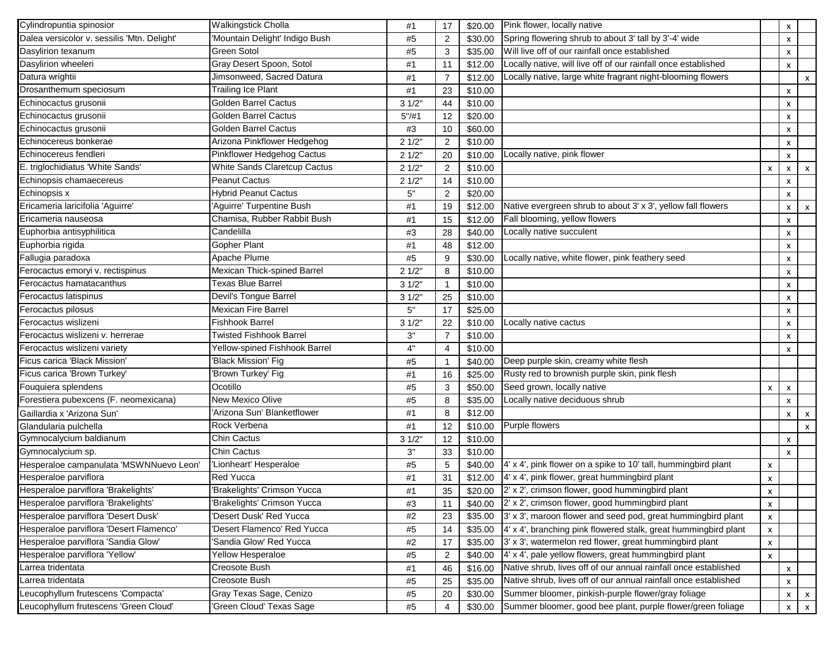| Cylindropuntia spinosior                    | <b>Walkingstick Cholla</b>     | #1     | 17             | \$20.00 | Pink flower, locally native                                     |   | x              |                           |
|---------------------------------------------|--------------------------------|--------|----------------|---------|-----------------------------------------------------------------|---|----------------|---------------------------|
| Dalea versicolor v. sessilis 'Mtn. Delight' | Mountain Delight' Indigo Bush  | #5     | 2              | \$30.00 | Spring flowering shrub to about 3' tall by 3'-4' wide           |   | x              |                           |
| Dasylirion texanum                          | Green Sotol                    | #5     | 3              | \$35.00 | Will live off of our rainfall once established                  |   | x              |                           |
| Dasylirion wheeleri                         | Gray Desert Spoon, Sotol       | #1     | 11             | \$12.00 | Locally native, will live off of our rainfall once established  |   | $\pmb{\times}$ |                           |
| Datura wrightii                             | Jimsonweed, Sacred Datura      | #1     | $\overline{7}$ | \$12.00 | Locally native, large white fragrant night-blooming flowers     |   |                | X                         |
| Drosanthemum speciosum                      | <b>Trailing Ice Plant</b>      | #1     | 23             | \$10.00 |                                                                 |   | x              |                           |
| Echinocactus grusonii                       | <b>Golden Barrel Cactus</b>    | 31/2"  | 44             | \$10.00 |                                                                 |   | x              |                           |
| Echinocactus grusonii                       | <b>Golden Barrel Cactus</b>    | 5''/#1 | 12             | \$20.00 |                                                                 |   | x              |                           |
| Echinocactus grusonii                       | <b>Golden Barrel Cactus</b>    | #3     | 10             | \$60.00 |                                                                 |   | x              |                           |
| Echinocereus bonkerae                       | Arizona Pinkflower Hedgehog    | 21/2"  | $\overline{2}$ | \$10.00 |                                                                 |   | x              |                           |
| Echinocereus fendleri                       | Pinkflower Hedgehog Cactus     | 21/2"  | 20             | \$10.00 | Locally native, pink flower                                     |   | x              |                           |
| E. triglochidiatus 'White Sands'            | White Sands Claretcup Cactus   | 21/2"  | $\overline{2}$ | \$10.00 |                                                                 | X | x              | x                         |
| Echinopsis chamaecereus                     | <b>Peanut Cactus</b>           | 21/2"  | 14             | \$10.00 |                                                                 |   | x              |                           |
| Echinopsis x                                | <b>Hybrid Peanut Cactus</b>    | 5"     | $\overline{2}$ | \$20.00 |                                                                 |   | x              |                           |
| Ericameria laricifolia 'Aguirre'            | 'Aguirre' Turpentine Bush      | #1     | 19             | \$12.00 | Native evergreen shrub to about 3' x 3', yellow fall flowers    |   | x              | X                         |
| Ericameria nauseosa                         | Chamisa, Rubber Rabbit Bush    | #1     | 15             | \$12.00 | Fall blooming, yellow flowers                                   |   | x              |                           |
| Euphorbia antisyphilitica                   | Candelilla                     | #3     | 28             | \$40.00 | Locally native succulent                                        |   | x              |                           |
| Euphorbia rigida                            | Gopher Plant                   | #1     | 48             | \$12.00 |                                                                 |   | x              |                           |
| Fallugia paradoxa                           | Apache Plume                   | #5     | 9              | \$30.00 | Locally native, white flower, pink feathery seed                |   | x              |                           |
| Ferocactus emoryi v. rectispinus            | Mexican Thick-spined Barrel    | 21/2"  | 8              | \$10.00 |                                                                 |   | x              |                           |
| Ferocactus hamatacanthus                    | Texas Blue Barrel              | 31/2"  | $\mathbf{1}$   | \$10.00 |                                                                 |   | x              |                           |
| Ferocactus latispinus                       | Devil's Tongue Barrel          | 31/2"  | 25             | \$10.00 |                                                                 |   | x              |                           |
| Ferocactus pilosus                          | Mexican Fire Barrel            | 5"     | 17             | \$25.00 |                                                                 |   | x              |                           |
| Ferocactus wislizeni                        | Fishhook Barrel                | 31/2"  | 22             | \$10.00 | Locally native cactus                                           |   | x              |                           |
| Ferocactus wislizeni v. herrerae            | <b>Twisted Fishhook Barrel</b> | 3"     | $\overline{7}$ | \$10.00 |                                                                 |   | x              |                           |
| Ferocactus wislizeni variety                | Yellow-spined Fishhook Barrel  | 4"     | 4              | \$10.00 |                                                                 |   | x              |                           |
| Ficus carica 'Black Mission'                | 'Black Mission' Fig            | #5     | $\mathbf{1}$   | \$40.00 | Deep purple skin, creamy white flesh                            |   |                |                           |
| Ficus carica 'Brown Turkey'                 | Brown Turkey' Fig              | #1     | 16             | \$25.00 | Rusty red to brownish purple skin, pink flesh                   |   |                |                           |
| Fouquiera splendens                         | Ocotillo                       | #5     | 3              | \$50.00 | Seed grown, locally native                                      | x | X              |                           |
| Forestiera pubexcens (F. neomexicana)       | New Mexico Olive               | #5     | 8              | \$35.00 | Locally native deciduous shrub                                  |   | x              |                           |
| Gaillardia x 'Arizona Sun'                  | 'Arizona Sun' Blanketflower    | #1     | 8              | \$12.00 |                                                                 |   | x              | $\boldsymbol{\mathsf{x}}$ |
| Glandularia pulchella                       | Rock Verbena                   | #1     | 12             | \$10.00 | Purple flowers                                                  |   |                | $\mathsf{x}$              |
| Gymnocalycium baldianum                     | <b>Chin Cactus</b>             | 31/2"  | 12             | \$10.00 |                                                                 |   | x              |                           |
| Gymnocalycium sp.                           | Chin Cactus                    | 3"     | 33             | \$10.00 |                                                                 |   | X              |                           |
| Hesperaloe campanulata 'MSWNNuevo Leon'     | 'Lionheart' Hesperaloe         | #5     | 5              | \$40.00 | 4' x 4', pink flower on a spike to 10' tall, hummingbird plant  | x |                |                           |
| Hesperaloe parviflora                       | Red Yucca                      | #1     | 31             | \$12.00 | 4' x 4', pink flower, great hummingbird plant                   | x |                |                           |
| Hesperaloe parviflora 'Brakelights'         | 'Brakelights' Crimson Yucca    | #1     | 35             |         | \$20.00 2' x 2', crimson flower, good hummingbird plant         | X |                |                           |
| Hesperaloe parviflora 'Brakelights'         | 'Brakelights' Crimson Yucca    | #3     | 11             |         | \$40.00 2' x 2', crimson flower, good hummingbird plant         | x |                |                           |
| Hesperaloe parviflora 'Desert Dusk'         | Desert Dusk' Red Yucca         | #2     | 23             | \$35.00 | 3' x 3', maroon flower and seed pod, great hummingbird plant    | x |                |                           |
| Hesperaloe parviflora 'Desert Flamenco'     | Desert Flamenco' Red Yucca     | #5     | 14             | \$35.00 | 4' x 4', branching pink flowered stalk, great hummingbird plant | x |                |                           |
| Hesperaloe parviflora 'Sandia Glow'         | Sandia Glow' Red Yucca         | #2     | 17             | \$35.00 | 3' x 3', watermelon red flower, great hummingbird plant         | x |                |                           |
| Hesperaloe parviflora 'Yellow'              | Yellow Hesperaloe              | #5     | $\overline{c}$ | \$40.00 | 4' x 4', pale yellow flowers, great hummingbird plant           | x |                |                           |
| Larrea tridentata                           | Creosote Bush                  | #1     | 46             | \$16.00 | Native shrub, lives off of our annual rainfall once established |   | x              |                           |
| Larrea tridentata                           | Creosote Bush                  | #5     | 25             | \$35.00 | Native shrub, lives off of our annual rainfall once established |   | x              |                           |
| Leucophyllum frutescens 'Compacta'          | Gray Texas Sage, Cenizo        | $\#5$  | 20             | \$30.00 | Summer bloomer, pinkish-purple flower/gray foliage              |   | x              | X                         |
| Leucophyllum frutescens 'Green Cloud'       | 'Green Cloud' Texas Sage       | #5     | 4              | \$30.00 | Summer bloomer, good bee plant, purple flower/green foliage     |   | x              | $\boldsymbol{\mathsf{x}}$ |
|                                             |                                |        |                |         |                                                                 |   |                |                           |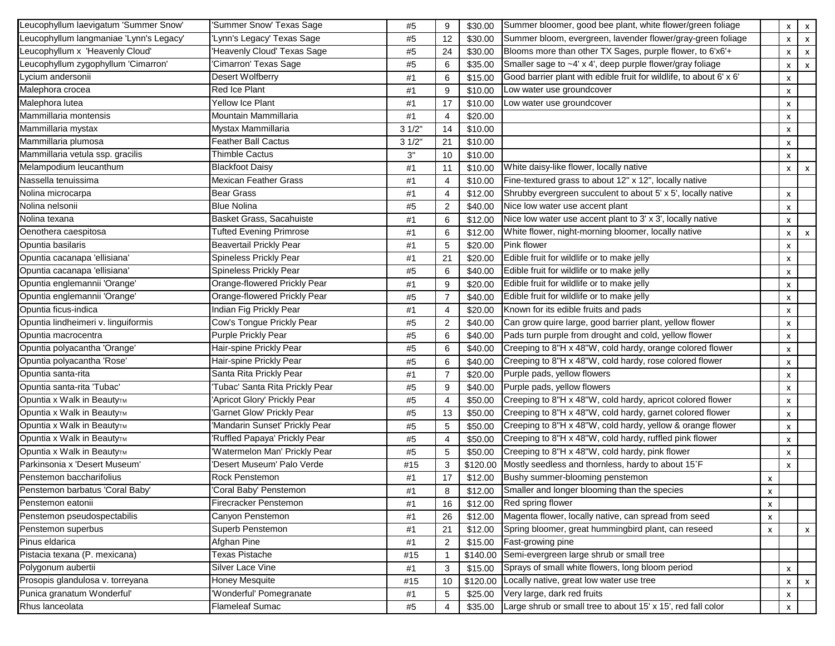| Leucophyllum laevigatum 'Summer Snow'   | 'Summer Snow' Texas Sage       | #5    | 9                       |          | \$30.00 Summer bloomer, good bee plant, white flower/green foliage  |           | X | $\mathsf{x}$              |
|-----------------------------------------|--------------------------------|-------|-------------------------|----------|---------------------------------------------------------------------|-----------|---|---------------------------|
| Leucophyllum langmaniae 'Lynn's Legacy' | 'Lynn's Legacy' Texas Sage     | #5    | 12                      | \$30.00  | Summer bloom, evergreen, lavender flower/gray-green foliage         |           | x | $\mathsf{x}$              |
| Leucophyllum x 'Heavenly Cloud'         | Heavenly Cloud' Texas Sage     | #5    | 24                      | \$30.00  | Blooms more than other TX Sages, purple flower, to 6'x6'+           |           | x | $\boldsymbol{\mathsf{x}}$ |
| Leucophyllum zygophyllum 'Cimarron'     | Cimarron' Texas Sage           | #5    | 6                       | \$35.00  | Smaller sage to ~4' x 4', deep purple flower/gray foliage           |           | x | $\boldsymbol{\mathsf{x}}$ |
| Lycium andersonii                       | Desert Wolfberry               | #1    | 6                       | \$15.00  | Good barrier plant with edible fruit for wildlife, to about 6' x 6' |           | X |                           |
| Malephora crocea                        | Red Ice Plant                  | #1    | 9                       | \$10.00  | Low water use groundcover                                           |           | x |                           |
| Malephora lutea                         | Yellow Ice Plant               | #1    | 17                      | \$10.00  | Low water use groundcover                                           |           | x |                           |
| Mammillaria montensis                   | Mountain Mammillaria           | #1    | $\overline{4}$          | \$20.00  |                                                                     |           | x |                           |
| Mammillaria mystax                      | Mystax Mammillaria             | 31/2" | 14                      | \$10.00  |                                                                     |           | x |                           |
| Mammillaria plumosa                     | <b>Feather Ball Cactus</b>     | 31/2" | 21                      | \$10.00  |                                                                     |           | x |                           |
| Mammillaria vetula ssp. gracilis        | <b>Thimble Cactus</b>          | 3"    | 10                      | \$10.00  |                                                                     |           | x |                           |
| Melampodium leucanthum                  | <b>Blackfoot Daisy</b>         | #1    | 11                      | \$10.00  | White daisy-like flower, locally native                             |           | X | $\boldsymbol{\mathsf{x}}$ |
| Nassella tenuissima                     | <b>Mexican Feather Grass</b>   | #1    | $\overline{4}$          | \$10.00  | Fine-textured grass to about 12" x 12", locally native              |           |   |                           |
| Nolina microcarpa                       | <b>Bear Grass</b>              | #1    | $\overline{\mathbf{4}}$ | \$12.00  | Shrubby evergreen succulent to about 5' x 5', locally native        |           | x |                           |
| Nolina nelsonii                         | <b>Blue Nolina</b>             | #5    | $\overline{\mathbf{c}}$ | \$40.00  | Nice low water use accent plant                                     |           | x |                           |
| Nolina texana                           | Basket Grass, Sacahuiste       | #1    | 6                       | \$12.00  | Nice low water use accent plant to 3' x 3', locally native          |           | x |                           |
| Oenothera caespitosa                    | <b>Tufted Evening Primrose</b> | #1    | 6                       | \$12.00  | White flower, night-morning bloomer, locally native                 |           | x | x                         |
| Opuntia basilaris                       | Beavertail Prickly Pear        | #1    | 5                       | \$20.00  | Pink flower                                                         |           | x |                           |
| Opuntia cacanapa 'ellisiana'            | Spineless Prickly Pear         | #1    | 21                      | \$20.00  | Edible fruit for wildlife or to make jelly                          |           | x |                           |
| Opuntia cacanapa 'ellisiana'            | Spineless Prickly Pear         | #5    | 6                       | \$40.00  | Edible fruit for wildlife or to make jelly                          |           | x |                           |
| Opuntia englemannii 'Orange'            | Orange-flowered Prickly Pear   | #1    | 9                       | \$20.00  | Edible fruit for wildlife or to make jelly                          |           | x |                           |
| Opuntia englemannii 'Orange'            | Orange-flowered Prickly Pear   | #5    | $\overline{7}$          | \$40.00  | Edible fruit for wildlife or to make jelly                          |           | x |                           |
| Opuntia ficus-indica                    | Indian Fig Prickly Pear        | #1    | $\overline{4}$          | \$20.00  | Known for its edible fruits and pads                                |           | X |                           |
| Opuntia lindheimeri v. linguiformis     | Cow's Tongue Prickly Pear      | #5    | $\overline{2}$          | \$40.00  | Can grow quire large, good barrier plant, yellow flower             |           | x |                           |
| Opuntia macrocentra                     | <b>Purple Prickly Pear</b>     | #5    | 6                       | \$40.00  | Pads turn purple from drought and cold, yellow flower               |           | x |                           |
| Opuntia polyacantha 'Orange'            | Hair-spine Prickly Pear        | #5    | 6                       | \$40.00  | Creeping to 8"H x 48"W, cold hardy, orange colored flower           |           | x |                           |
| Opuntia polyacantha 'Rose'              | Hair-spine Prickly Pear        | #5    | 6                       | \$40.00  | Creeping to 8"H x 48"W, cold hardy, rose colored flower             |           | x |                           |
| Opuntia santa-rita                      | Santa Rita Prickly Pear        | #1    | $\overline{7}$          | \$20.00  | Purple pads, yellow flowers                                         |           | x |                           |
| Opuntia santa-rita 'Tubac'              | Tubac' Santa Rita Prickly Pear | #5    | 9                       | \$40.00  | Purple pads, yellow flowers                                         |           | X |                           |
| Opuntia x Walk in Beauty™               | Apricot Glory' Prickly Pear    | #5    | $\overline{a}$          | \$50.00  | Creeping to 8"H x 48"W, cold hardy, apricot colored flower          |           | X |                           |
| Opuntia x Walk in BeautyTM              | Garnet Glow' Prickly Pear      | #5    | 13                      | \$50.00  | Creeping to 8"H x 48"W, cold hardy, garnet colored flower           |           | x |                           |
| Opuntia x Walk in Beauty <sub>TM</sub>  | Mandarin Sunset' Prickly Pear  | #5    | 5                       | \$50.00  | Creeping to 8"H x 48"W, cold hardy, yellow & orange flower          |           | x |                           |
| Opuntia x Walk in BeautyTM              | Ruffled Papaya' Prickly Pear   | #5    | $\overline{4}$          | \$50.00  | Creeping to 8"H x 48"W, cold hardy, ruffled pink flower             |           | x |                           |
| Opuntia x Walk in BeautyTM              | Watermelon Man' Prickly Pear   | #5    | 5                       | \$50.00  | Creeping to 8"H x 48"W, cold hardy, pink flower                     |           | x |                           |
| Parkinsonia x 'Desert Museum'           | 'Desert Museum' Palo Verde     | #15   | 3                       | \$120.00 | Mostly seedless and thornless, hardy to about 15°F                  |           | x |                           |
| Penstemon baccharifolius                | Rock Penstemon                 | #1    | 17                      | \$12.00  | Bushy summer-blooming penstemon                                     | x         |   |                           |
| Penstemon barbatus 'Coral Baby'         | 'Coral Baby' Penstemon         | $\#1$ | 8                       |          | \$12.00 Smaller and longer blooming than the species                | $\lambda$ |   |                           |
| Penstemon eatonii                       | Firecracker Penstemon          | #1    | 16                      |          | \$12.00 Red spring flower                                           | x         |   |                           |
| Penstemon pseudospectabilis             | Canyon Penstemon               | #1    | 26                      | \$12.00  | Magenta flower, locally native, can spread from seed                | x         |   |                           |
| Penstemon superbus                      | Superb Penstemon               | #1    | 21                      | \$12.00  | Spring bloomer, great hummingbird plant, can reseed                 | x         |   | $\mathsf{x}$              |
| Pinus eldarica                          | Afghan Pine                    | #1    | 2                       | \$15.00  | Fast-growing pine                                                   |           |   |                           |
| Pistacia texana (P. mexicana)           | Texas Pistache                 | #15   | $\mathbf{1}$            | \$140.00 | Semi-evergreen large shrub or small tree                            |           |   |                           |
| Polygonum aubertii                      | Silver Lace Vine               | #1    | 3                       | \$15.00  | Sprays of small white flowers, long bloom period                    |           | x |                           |
| Prosopis glandulosa v. torreyana        | Honey Mesquite                 | #15   | 10                      | \$120.00 | Locally native, great low water use tree                            |           | x | X                         |
| Punica granatum Wonderful'              | Wonderful' Pomegranate         | #1    | 5                       | \$25.00  | Very large, dark red fruits                                         |           | x |                           |
| Rhus lanceolata                         | Flameleaf Sumac                | #5    | $\overline{4}$          | \$35.00  | Large shrub or small tree to about 15' x 15', red fall color        |           | x |                           |
|                                         |                                |       |                         |          |                                                                     |           |   |                           |